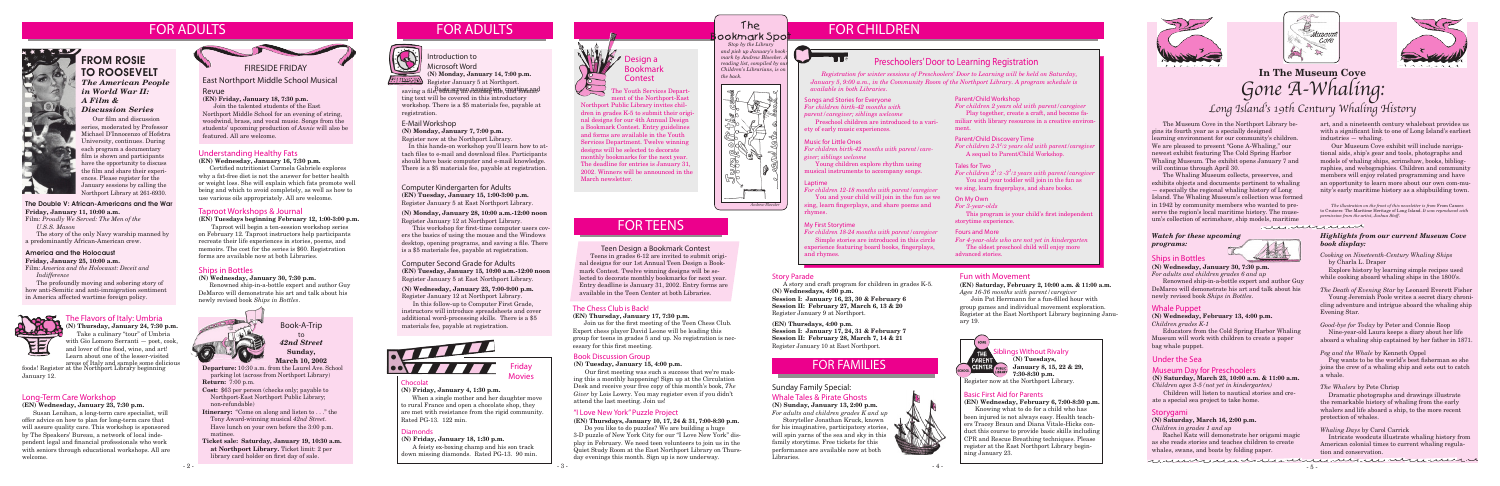

parking lot (across from Northport Library)

**Return:** 7:00 p.m.

- **Cost:** \$63 per person (checks only; payable to Northport-East Northport Public Library; non-refundable)
- **Itinerary:** "Come on along and listen to . . ." the Tony Award-winning musical *42nd Street*. Have lunch on your own before the 3:00 p.m. matinee.
- **Ticket sale: Saturday, January 19, 10:30 a.m. at Northport Library.** Ticket limit: 2 per library card holder on first day of sale.

**Siblings Without Rivalry (N) Tuesdays,**

Book-A-Trip to *42nd Street* **Sunday, March 10, 2002**

### FOR ADULTS FOR ADULTS FOR ADULTS FOR ADULTS FOR CHILDREN FOR ADULTS



 Our film and discussion series, moderated by Professor Michael D'Innocenzo of Hofstra University, continues. During each program a documentary film is shown and participants have the opportunity to discuss the film and share their experiences. Please register for the January sessions by calling the Northport Library at 261-6930.



TO ROOSEVELT *The American People in World War II: A Film & Discussion Series*

> Friday **Movies**

# **Chocolat**

**January 8, 15, 22 & 29, 7:30-8:30 p.m.**

Register now at the Northport Library.

# Understanding Healthy Fats

#### **(EN) Wednesday, January 16, 7:30 p.m.**

Certified nutritionist Carmela Gabriele explores why a fat-free diet is not the answer for better health or weight loss. She will explain which fats promote well being and which to avoid completely, as well as how to use various oils appropriately. All are welcome.



### Teen Design a Bookmark Contest

Teens in grades 6-12 are invited to submit original designs for our 1st Annual Teen Design a Bookmark Contest. Twelve winning designs will be selected to decorate monthly bookmarks for next year. Entry deadline is January 31, 2002. Entry forms are available in the Teen Center at both Libraries.

**(N) Friday, January 4, 1:30 p.m.**

When a single mother and her daughter move to rural France and open a chocolate shop, they are met with resistance from the rigid community. Rated PG-13. 122 min.

### **Diamonds**

**(N) Friday, January 18, 1:30 p.m.**

A feisty ex-boxing champ and his son track down missing diamonds. Rated PG-13. 90 min.



# **Design a** Bookmark **Contest**

# Sunday Family Special:

# Whale Tales & Pirate Ghosts

**(N) Sunday, January 13, 2:00 p.m.** *For adults and children grades K and up*

Storyteller Jonathan Kruck, known for his imaginative, participatory stories, will spin yarns of the sea and sky in this family storytime. Free tickets for this performance are available now at both Libraries.

### The Chess Club is Back!

# **(EN) Thursday, January 17, 7:30 p.m.**

Join us for the first meeting of the Teen Chess Club. Expert chess player David Leone will be leading this group for teens in grades 5 and up. No registration is necessary for this first meeting.

# Book Discussion Group

#### **(N) Tuesday, January 15, 4:00 p.m.**

Our first meeting was such a success that we're making this a monthly happening! Sign up at the Circulation Desk and receive your free copy of this month's book, *The Giver* by Lois Lowry. You may register even if you didn't attend the last meeting. Join us!

# "I Love New York" Puzzle Project

# **(EN) Thursdays, January 10, 17, 24 & 31, 7:00-8:30 p.m.**

Do you like to do puzzles? We are building a huge 3-D puzzle of New York City for our "I Love New York" display in February. We need teen volunteers to join us in the Quiet Study Room at the East Northport Library on Thursday evenings this month. Sign up is now underway.

# The ookmark Spot

# Basic First Aid for Parents

**(EN) Wednesday, February 6, 7:00-8:30 p.m.**

Knowing what to do for a child who has been injured is not always easy. Health teachers Tracey Braun and Diana Vitale-Hicks conduct this course to provide basic skills including CPR and Rescue Breathing techniques. Please register at the East Northport Library beginning January 23.







**(N) Thursday, January 24, 7:30 p.m.** Take a culinary "tour" of Umbria with Gio Lomoro Serranti — poet, cook, and lover of fine food, wine, and art! Learn about one of the lesser-visited

# America and the Holocaust

**Friday, January 25, 10:00 a.m.** Film: *America and the Holocaust: Deceit and Indifference*

The profoundly moving and sobering story of how anti-Semitic and anti-immigration sentiment in America affected wartime foreign policy.



# The Flavors of Italy: Umbria

#### The Double V: African-Americans and the War **Friday, January 11, 10:00 a.m.**

Film: *Proudly We Served: The Men of the U.S.S. Mason*

The story of the only Navy warship manned by a predominantly African-American crew.

#### Computer Second Grade for Adults **(EN) Tuesday, January 15, 10:00 a.m.-12:00 noon** Register January 5 at East Northport Library.

#### **(N) Wednesday, January 23, 7:00-9:00 p.m.** Register January 12 at Northport Library.

In this follow-up to Computer First Grade, instructors will introduce spreadsheets and cover additional word-processing skills. There is a \$5 materials fee, payable at registration.

# Long-Term Care Workshop

**(EN) Wednesday, January 23, 7:30 p.m.**

Susan Lenihan, a long-term care specialist, will offer advice on how to plan for long-term care that will assure quality care. This workshop is sponsored by The Speakers' Bureau, a network of local independent legal and financial professionals who work with seniors through educational workshops. All are welcome.

The Museum Cove in the Northport Library begins its fourth year as a specially designed learning environment for our community's children. We are pleased to present "Gone A-Whaling," our newest exhibit featuring The Cold Spring Harbor Whaling Museum. The exhibit opens January 7 and will continue through April 30.

The Whaling Museum collects, preserves, and exhibits objects and documents pertinent to whaling — especially the regional whaling history of Long Island. The Whaling Museum's collection was formed in 1942 by community members who wanted to preserve the region's local maritime history. The museum's collection of scrimshaw, ship models, maritime

Songs and Stories for Everyone *For children birth-42 months with parent/caregiver; siblings welcome*

Preschool children are introduced to a variety of early music experiences.

#### Laptime

*For children 12-18 months with parent/caregiver*

You and your child will join in the fun as we sing, learn fingerplays, and share poems and rhymes.

#### My First Storytime

*For children 18-24 months with parent/caregiver* Simple stories are introduced in this circle

experience featuring board books, fingerplays, and rhymes.

#### Parent/Child Workshop

saving a file, edi<del>ting an existing in</del>n, creation and ting text will be covered in this introductory workshop. There is a \$5 materials fee, payable at registration.

*For children 2 years old with parent/caregiver* Play together, create a craft, and become fa-

miliar with library resources in a creative environment.

### Parent/Child Discovery Time

*For children 2-31 /2 years old with parent/caregiver* A sequel to Parent/Child Workshop.

# Tales for Two

*For children 21 /2 -31 /2 years with parent/caregiver* You and your toddler will join in the fun as we sing, learn fingerplays, and share books.

# Preschoolers' Door to Learning Registration

*Registration for winter sessions of Preschoolers' Door to Learning will be held on Saturday, January 5, 9:00 a.m., in the Community Room of the Northport Library. A program schedule is available in both Libraries.*

### On My Own

*For 3-year-olds*

 This program is your child's first independent storytime experience.

### Fours and More

*For 4-year-olds who are not yet in kindergarten*

The oldest preschool child will enjoy more advanced stories.

 *Stop by the Library and pick up January's bookmark by Andrew Bloecker. reading list, compiled by o Children's Librarians, is on the back.*





 The Youth Services Depart ment of the Northport-East Northport Public Library invites children in grades K-5 to submit their original designs for our 4th Annual Design a Bookmark Contest. Entry guidelines and forms are available in the Youth Services Department. Twelve winning designs will be selected to decorate monthly bookmarks for the next year. The deadline for entries is January 31, 2002. Winners will be announced in the March newsletter.

### E-Mail Workshop

**(N) Monday, January 7, 7:00 p.m.**

Register now at the Northport Library.

 In this hands-on workshop you'll learn how to attach files to e-mail and download files. Participants should have basic computer and e-mail knowledge. There is a \$5 materials fee, payable at registration.

# Story Parade

A story and craft program for children in grades K-5. **(N) Wednesdays, 4:00 p.m.**

**Session I: January 16, 23, 30 & February 6 Session II: February 27, March 6, 13 & 20** Register January 9 at Northport.

areas of Italy and sample some delicious foods! Register at the Northport Library beginning January 12.

#### **(EN) Thursdays, 4:00 p.m.**

**Session I: January 17, 24, 31 & February 7 Session II: February 28, March 7, 14 & 21** Register January 10 at East Northport.

# Taproot Workshops & Journal

**(EN) Tuesdays beginning February 12, 1:00-3:00 p.m.**

 Taproot will begin a ten-session workshop series on February 12. Taproot instructors help participants recreate their life experiences in stories, poems, and memoirs. The cost for the series is \$60. Registration forms are available now at both Libraries.

# Ships in Bottles

#### **(N) Wednesday, January 30, 7:30 p.m.**

Renowned ship-in-a-bottle expert and author Guy DeMarco will demonstrate his art and talk about his newly revised book *Ships in Bottles*.



Introduction to Microsoft Word **(N) Monday, January 14, 7:00 p.m.**

Register January 5 at Northport.

# Computer Kindergarten for Adults

**(EN) Tuesday, January 15, 1:00-3:00 p.m.** Register January 5 at East Northport Library.

#### **(N) Monday, January 28, 10:00 a.m.-12:00 noon** Register January 12 at Northport Library.

This workshop for first-time computer users covers the basics of using the mouse and the Windows desktop, opening programs, and saving a file. There is a \$5 materials fee, payable at registration.



# East Northport Middle School Musical

#### Revue

**(EN) Friday, January 18, 7:30 p.m.**

Join the talented students of the East Northport Middle School for an evening of string, woodwind, brass, and vocal music. Songs from the students' upcoming production of *Annie* will also be featured. All are welcome.

# Ships in Bottles

#### **(N) Wednesday, January 30, 7:30 p.m.**

*For adults and children grades 6 and up*

 Renowned ship-in-a-bottle expert and author Guy DeMarco will demonstrate his art and talk about his newly revised book *Ships in Bottles*.

# Under the Sea

### Museum Day for Preschoolers

#### **(N) Saturday, March 23, 10:00 a.m. & 11:00 a.m.** *Children ages 3-5 (not yet in kindergarten)*

Children will listen to nautical stories and create a special sea project to take home.

#### Whale Puppet

**(N) Wednesday, February 13, 4:00 p.m.** *Children grades K-1*

Educators from the Cold Spring Harbor Whaling Museum will work with children to create a paper bag whale puppet.

### Storygami

#### **(N) Saturday, March 16, 2:00 p.m.**

*Children in grades 1 and up*

Rachel Katz will demonstrate her origami magic as she reads stories and teaches children to create whales, swans, and boats by folding paper.

# **In The Museum Cove** *Gone A-Whaling: Long Island's 19th Century Whaling History*

art, and a nineteenth century whaleboat provides us with a significant link to one of Long Island's earliest industries — whaling.

 Our Museum Cove exhibit will include navigational aids, ship's gear and tools, photographs and models of whaling ships, scrimshaw, books, bibliographies, and webographies. Children and community members will enjoy related programming and have an opportunity to learn more about our own com-munity's early maritime history as a shipbuilding town.

#### *Highlights from our current Museum Cove book display:*

*Cooking on Nineteenth-Century Whaling Ships*  by Charla L. Draper

 Explore history by learning simple recipes used while cooking aboard whaling ships in the 1800's.

#### *The Death of Evening Star* by Leonard Everett Fisher

Young Jeremiah Poole writes a secret diary chronicling adventure and intrigue aboard the whaling ship Evening Star.

#### *Good-bye for Today* by Peter and Connie Roop

Nine-year-old Laura keeps a diary about her life aboard a whaling ship captained by her father in 1871.

#### *Peg and the Whale* by Kenneth Oppel

 Peg wants to be the world's best fisherman so she joins the crew of a whaling ship and sets out to catch a whale.

#### *The Whalers* by Pete Chrisp

Dramatic photographs and drawings illustrate the remarkable history of whaling from the early whalers and life aboard a ship, to the more recent protection of whales.

#### *Whaling Days* by Carol Carrick

Intricate woodcuts illustrate whaling history from American colonial times to current whaling regulation and conservation.

#### *Watch for these upcoming programs:*



# Fun with Movement

**(EN) Saturday, February 2, 10:00 a.m. & 11:00 a.m.** *Ages 16-36 months with parent/caregiver*

 Join Pat Herrmann for a fun-filled hour with group games and individual movement exploration. Register at the East Northport Library beginning January 19.



#### Music for Little Ones

*For children birth-42 months with parent/caregiver; siblings welcome*

 Young children explore rhythm using musical instruments to accompany songs.

> *The illustration on the front of this newsletter is from* From Canoes to Cruisers: The Maritime Heritage of Long Island. *It was reproduced with permission from the artist, Joshua Stoff.*